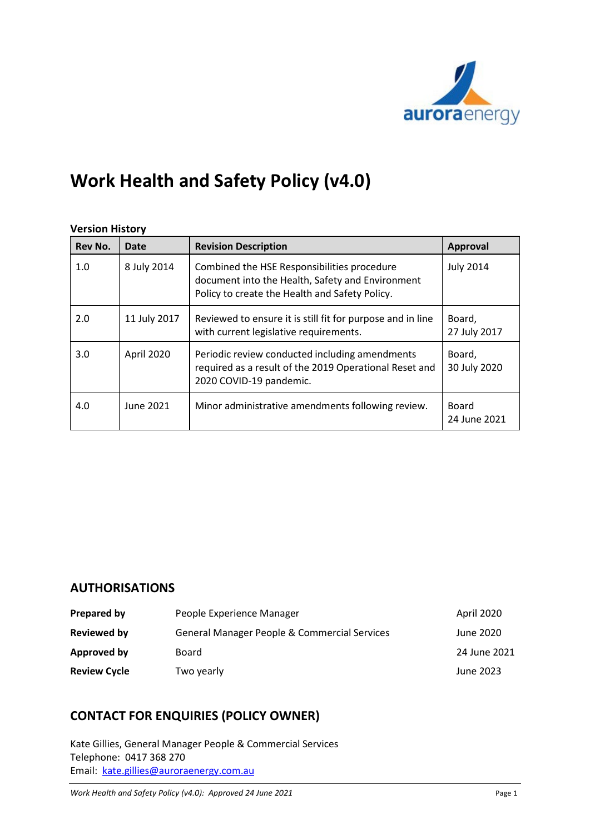

# **Work Health and Safety Policy (v4.0)**

### **Version History**

| Rev No. | Date         | <b>Revision Description</b>                                                                                                                       | <b>Approval</b>              |
|---------|--------------|---------------------------------------------------------------------------------------------------------------------------------------------------|------------------------------|
| 1.0     | 8 July 2014  | Combined the HSE Responsibilities procedure<br>document into the Health, Safety and Environment<br>Policy to create the Health and Safety Policy. | <b>July 2014</b>             |
| 2.0     | 11 July 2017 | Reviewed to ensure it is still fit for purpose and in line<br>with current legislative requirements.                                              | Board,<br>27 July 2017       |
| 3.0     | April 2020   | Periodic review conducted including amendments<br>required as a result of the 2019 Operational Reset and<br>2020 COVID-19 pandemic.               | Board,<br>30 July 2020       |
| 4.0     | June 2021    | Minor administrative amendments following review.                                                                                                 | <b>Board</b><br>24 June 2021 |

# **AUTHORISATIONS**

| Prepared by         | People Experience Manager                               | April 2020   |
|---------------------|---------------------------------------------------------|--------------|
| Reviewed by         | <b>General Manager People &amp; Commercial Services</b> | June 2020    |
| Approved by         | Board                                                   | 24 June 2021 |
| <b>Review Cycle</b> | Two yearly                                              | June 2023    |

# **CONTACT FOR ENQUIRIES (POLICY OWNER)**

Kate Gillies, General Manager People & Commercial Services Telephone: 0417 368 270 Email: [kate.gillies@auroraenergy.com.au](mailto:kate.gillies@auroraenergy.com.au)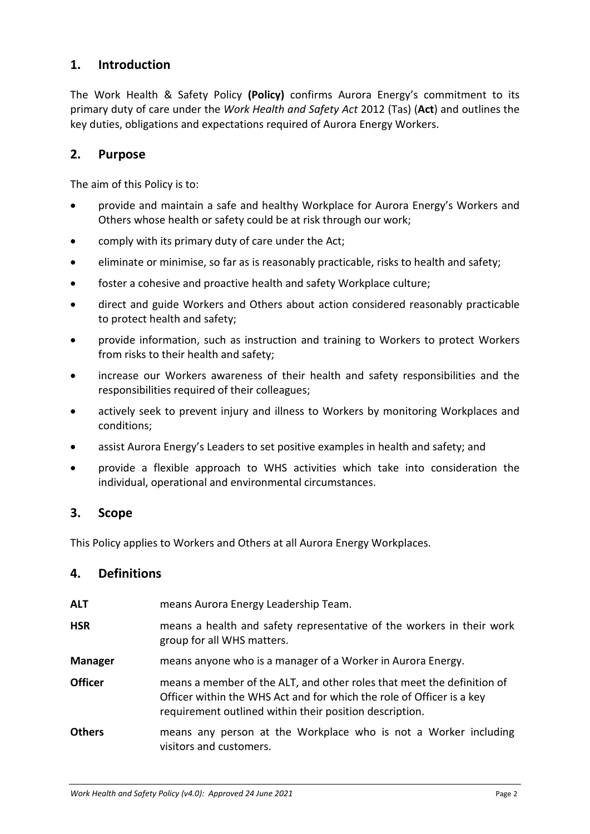# **1. Introduction**

The Work Health & Safety Policy **(Policy)** confirms Aurora Energy's commitment to its primary duty of care under the *Work Health and Safety Act* 2012 (Tas) (**Act**) and outlines the key duties, obligations and expectations required of Aurora Energy Workers.

# **2. Purpose**

The aim of this Policy is to:

- provide and maintain a safe and healthy Workplace for Aurora Energy's Workers and Others whose health or safety could be at risk through our work;
- comply with its primary duty of care under the Act;
- eliminate or minimise, so far as is reasonably practicable, risks to health and safety;
- foster a cohesive and proactive health and safety Workplace culture;
- direct and guide Workers and Others about action considered reasonably practicable to protect health and safety;
- provide information, such as instruction and training to Workers to protect Workers from risks to their health and safety;
- increase our Workers awareness of their health and safety responsibilities and the responsibilities required of their colleagues;
- actively seek to prevent injury and illness to Workers by monitoring Workplaces and conditions;
- assist Aurora Energy's Leaders to set positive examples in health and safety; and
- provide a flexible approach to WHS activities which take into consideration the individual, operational and environmental circumstances.

## **3. Scope**

This Policy applies to Workers and Others at all Aurora Energy Workplaces.

## **4. Definitions**

| ALT            | means Aurora Energy Leadership Team.                                                                                                                                                                       |
|----------------|------------------------------------------------------------------------------------------------------------------------------------------------------------------------------------------------------------|
| <b>HSR</b>     | means a health and safety representative of the workers in their work<br>group for all WHS matters.                                                                                                        |
| <b>Manager</b> | means anyone who is a manager of a Worker in Aurora Energy.                                                                                                                                                |
| <b>Officer</b> | means a member of the ALT, and other roles that meet the definition of<br>Officer within the WHS Act and for which the role of Officer is a key<br>requirement outlined within their position description. |
| <b>Others</b>  | means any person at the Workplace who is not a Worker including<br>visitors and customers.                                                                                                                 |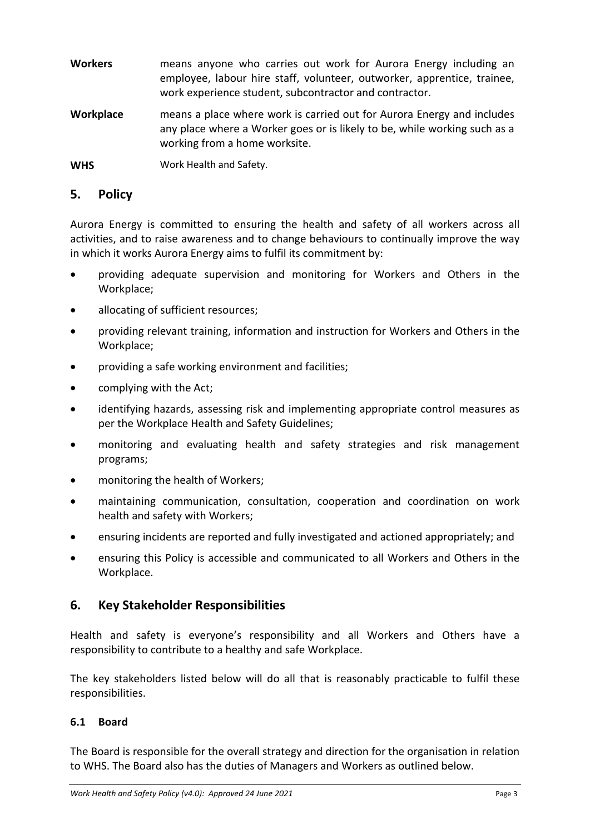- **Workers** means anyone who carries out work for Aurora Energy including an employee, labour hire staff, volunteer, outworker, apprentice, trainee, work experience student, subcontractor and contractor.
- **Workplace** means a place where work is carried out for Aurora Energy and includes any place where a Worker goes or is likely to be, while working such as a working from a home worksite.

**WHS** Work Health and Safety.

# **5. Policy**

Aurora Energy is committed to ensuring the health and safety of all workers across all activities, and to raise awareness and to change behaviours to continually improve the way in which it works Aurora Energy aims to fulfil its commitment by:

- providing adequate supervision and monitoring for Workers and Others in the Workplace;
- allocating of sufficient resources;
- providing relevant training, information and instruction for Workers and Others in the Workplace;
- providing a safe working environment and facilities;
- complying with the Act;
- identifying hazards, assessing risk and implementing appropriate control measures as per the Workplace Health and Safety Guidelines;
- monitoring and evaluating health and safety strategies and risk management programs;
- monitoring the health of Workers;
- maintaining communication, consultation, cooperation and coordination on work health and safety with Workers;
- ensuring incidents are reported and fully investigated and actioned appropriately; and
- ensuring this Policy is accessible and communicated to all Workers and Others in the Workplace.

# **6. Key Stakeholder Responsibilities**

Health and safety is everyone's responsibility and all Workers and Others have a responsibility to contribute to a healthy and safe Workplace.

The key stakeholders listed below will do all that is reasonably practicable to fulfil these responsibilities.

# **6.1 Board**

The Board is responsible for the overall strategy and direction for the organisation in relation to WHS. The Board also has the duties of Managers and Workers as outlined below.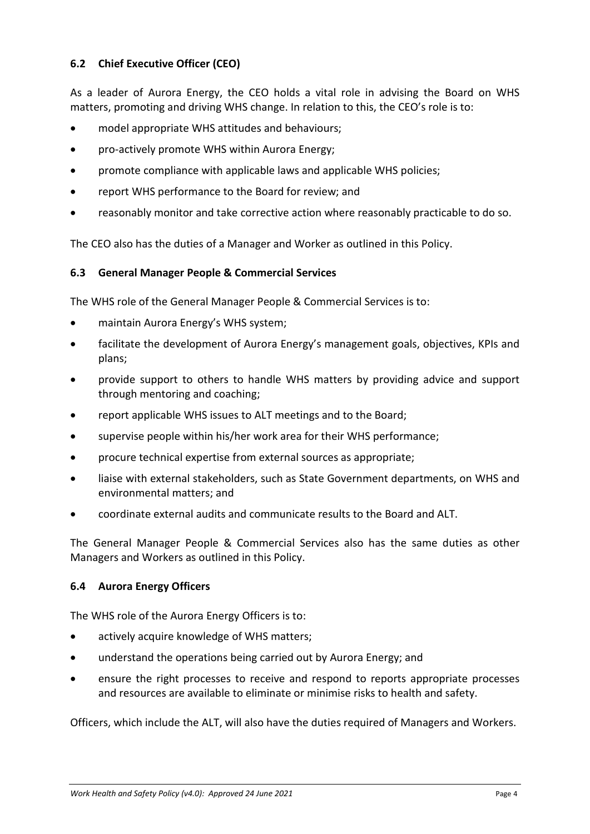# **6.2 Chief Executive Officer (CEO)**

As a leader of Aurora Energy, the CEO holds a vital role in advising the Board on WHS matters, promoting and driving WHS change. In relation to this, the CEO's role is to:

- model appropriate WHS attitudes and behaviours;
- pro-actively promote WHS within Aurora Energy;
- promote compliance with applicable laws and applicable WHS policies;
- report WHS performance to the Board for review; and
- reasonably monitor and take corrective action where reasonably practicable to do so.

The CEO also has the duties of a Manager and Worker as outlined in this Policy.

### **6.3 General Manager People & Commercial Services**

The WHS role of the General Manager People & Commercial Services is to:

- maintain Aurora Energy's WHS system;
- facilitate the development of Aurora Energy's management goals, objectives, KPIs and plans;
- provide support to others to handle WHS matters by providing advice and support through mentoring and coaching;
- report applicable WHS issues to ALT meetings and to the Board;
- supervise people within his/her work area for their WHS performance;
- procure technical expertise from external sources as appropriate;
- liaise with external stakeholders, such as State Government departments, on WHS and environmental matters; and
- coordinate external audits and communicate results to the Board and ALT.

The General Manager People & Commercial Services also has the same duties as other Managers and Workers as outlined in this Policy.

#### **6.4 Aurora Energy Officers**

The WHS role of the Aurora Energy Officers is to:

- actively acquire knowledge of WHS matters:
- understand the operations being carried out by Aurora Energy; and
- ensure the right processes to receive and respond to reports appropriate processes and resources are available to eliminate or minimise risks to health and safety.

Officers, which include the ALT, will also have the duties required of Managers and Workers.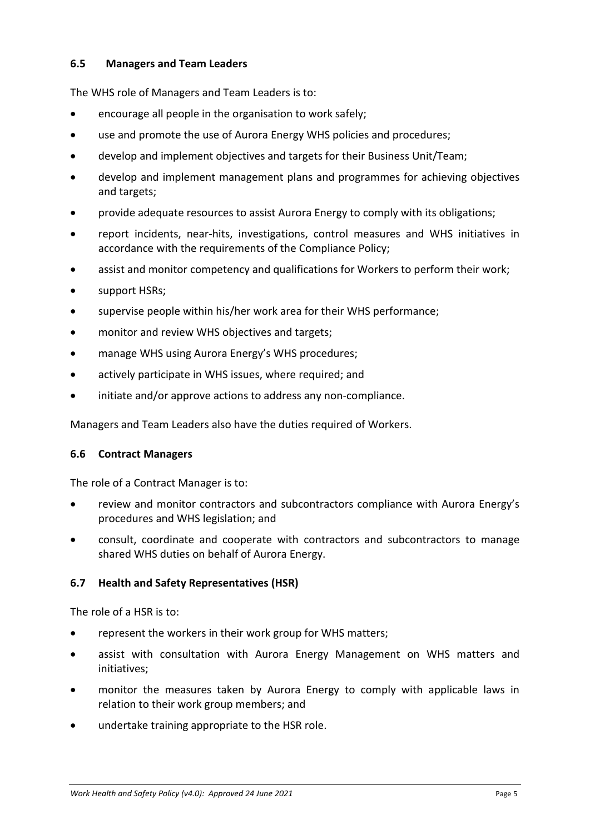## **6.5 Managers and Team Leaders**

The WHS role of Managers and Team Leaders is to:

- encourage all people in the organisation to work safely;
- use and promote the use of Aurora Energy WHS policies and procedures;
- develop and implement objectives and targets for their Business Unit/Team;
- develop and implement management plans and programmes for achieving objectives and targets;
- provide adequate resources to assist Aurora Energy to comply with its obligations;
- report incidents, near-hits, investigations, control measures and WHS initiatives in accordance with the requirements of the Compliance Policy:
- assist and monitor competency and qualifications for Workers to perform their work;
- support HSRs;
- supervise people within his/her work area for their WHS performance;
- monitor and review WHS objectives and targets;
- manage WHS using Aurora Energy's WHS procedures;
- actively participate in WHS issues, where required; and
- initiate and/or approve actions to address any non-compliance.

Managers and Team Leaders also have the duties required of Workers.

#### **6.6 Contract Managers**

The role of a Contract Manager is to:

- review and monitor contractors and subcontractors compliance with Aurora Energy's procedures and WHS legislation; and
- consult, coordinate and cooperate with contractors and subcontractors to manage shared WHS duties on behalf of Aurora Energy.

#### **6.7 Health and Safety Representatives (HSR)**

The role of a HSR is to:

- represent the workers in their work group for WHS matters;
- assist with consultation with Aurora Energy Management on WHS matters and initiatives;
- monitor the measures taken by Aurora Energy to comply with applicable laws in relation to their work group members; and
- undertake training appropriate to the HSR role.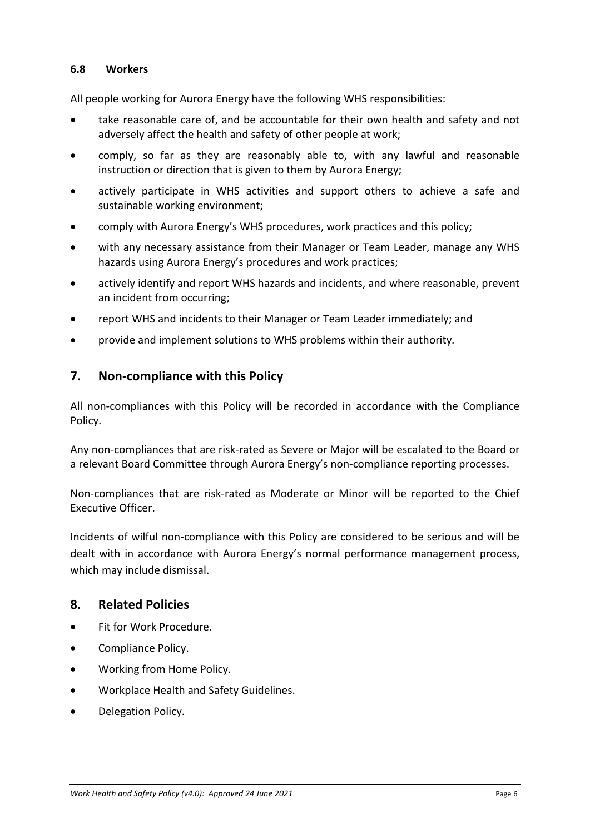## **6.8 Workers**

All people working for Aurora Energy have the following WHS responsibilities:

- take reasonable care of, and be accountable for their own health and safety and not adversely affect the health and safety of other people at work;
- comply, so far as they are reasonably able to, with any lawful and reasonable instruction or direction that is given to them by Aurora Energy;
- actively participate in WHS activities and support others to achieve a safe and sustainable working environment;
- comply with Aurora Energy's WHS procedures, work practices and this policy;
- with any necessary assistance from their Manager or Team Leader, manage any WHS hazards using Aurora Energy's procedures and work practices;
- actively identify and report WHS hazards and incidents, and where reasonable, prevent an incident from occurring;
- report WHS and incidents to their Manager or Team Leader immediately; and
- provide and implement solutions to WHS problems within their authority.

## **7. Non-compliance with this Policy**

All non-compliances with this Policy will be recorded in accordance with the Compliance Policy.

Any non-compliances that are risk-rated as Severe or Major will be escalated to the Board or a relevant Board Committee through Aurora Energy's non-compliance reporting processes.

Non-compliances that are risk-rated as Moderate or Minor will be reported to the Chief Executive Officer.

Incidents of wilful non-compliance with this Policy are considered to be serious and will be dealt with in accordance with Aurora Energy's normal performance management process, which may include dismissal.

## **8. Related Policies**

- Fit for Work Procedure.
- Compliance Policy.
- Working from Home Policy.
- Workplace Health and Safety Guidelines.
- Delegation Policy.